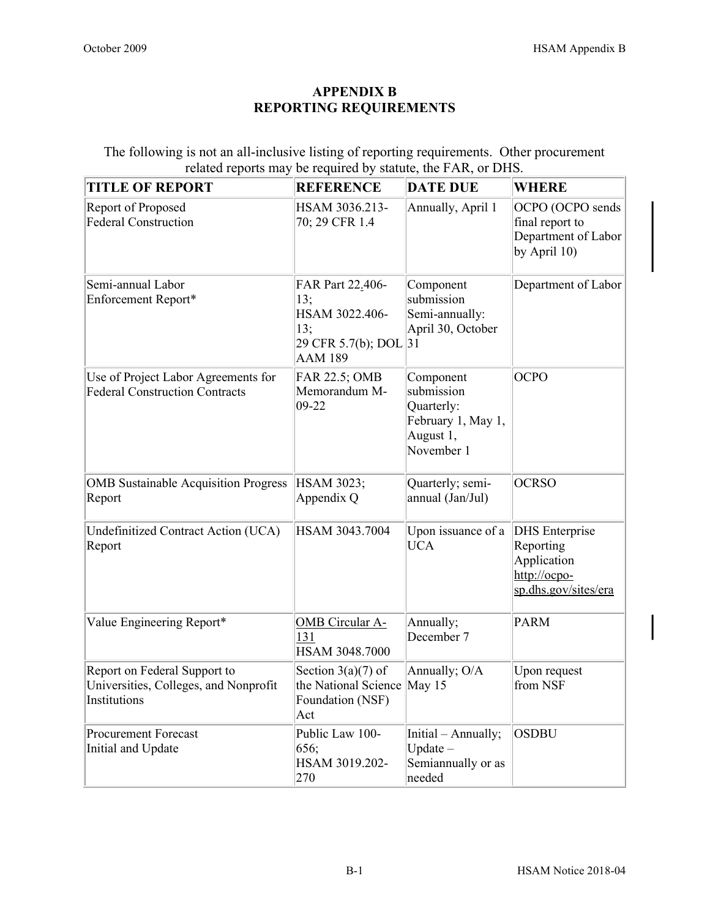## APPENDIX B REPORTING REQUIREMENTS

The following is not an all-inclusive listing of reporting requirements. Other procurement related reports may be required by statute, the FAR, or DHS.

| <b>TITLE OF REPORT</b>                                                                | <b>REFERENCE</b>                                                                         | <b>DATE DUE</b>                                                                        | <b>WHERE</b>                                                                              |
|---------------------------------------------------------------------------------------|------------------------------------------------------------------------------------------|----------------------------------------------------------------------------------------|-------------------------------------------------------------------------------------------|
| Report of Proposed<br>Federal Construction                                            | HSAM 3036.213-<br>70; 29 CFR 1.4                                                         | Annually, April 1                                                                      | OCPO (OCPO sends<br>final report to<br>Department of Labor<br>by April 10)                |
| Semi-annual Labor<br>Enforcement Report*                                              | FAR Part 22.406-<br>13;<br>HSAM 3022.406-<br>13;<br>29 CFR 5.7(b); DOL<br><b>AAM 189</b> | Component<br>submission<br>Semi-annually:<br>April 30, October<br> 31                  | Department of Labor                                                                       |
| Use of Project Labor Agreements for<br><b>Federal Construction Contracts</b>          | FAR 22.5; OMB<br>Memorandum M-<br>$09-22$                                                | Component<br>submission<br>Quarterly:<br>February 1, May 1,<br>August 1,<br>November 1 | <b>OCPO</b>                                                                               |
| <b>OMB</b> Sustainable Acquisition Progress<br>Report                                 | HSAM 3023;<br>Appendix Q                                                                 | Quarterly; semi-<br>annual (Jan/Jul)                                                   | <b>OCRSO</b>                                                                              |
| Undefinitized Contract Action (UCA)<br>Report                                         | HSAM 3043.7004                                                                           | Upon issuance of a<br><b>UCA</b>                                                       | <b>DHS</b> Enterprise<br>Reporting<br>Application<br>http://ocpo-<br>sp.dhs.gov/sites/era |
| Value Engineering Report*                                                             | <b>OMB</b> Circular A-<br>131<br>HSAM 3048.7000                                          | Annually;<br>December 7                                                                | <b>PARM</b>                                                                               |
| Report on Federal Support to<br>Universities, Colleges, and Nonprofit<br>Institutions | Section $3(a)(7)$ of<br>the National Science<br>Foundation (NSF)<br>Act                  | Annually; O/A<br>May $15$                                                              | Upon request<br>from NSF                                                                  |
| Procurement Forecast<br>Initial and Update                                            | Public Law 100-<br>656;<br>HSAM 3019.202-<br>270                                         | Initial – Annually;<br>$Update -$<br>Semiannually or as<br>needed                      | <b>OSDBU</b>                                                                              |